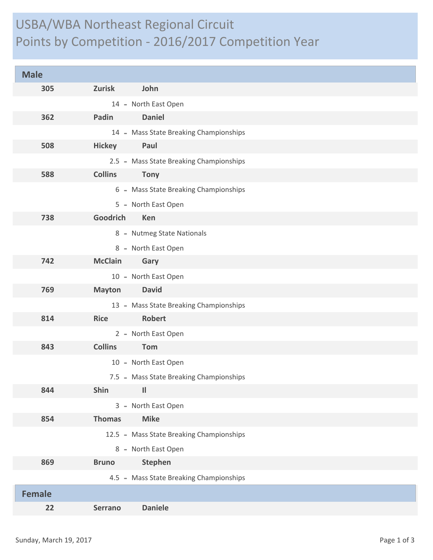## USBA/WBA Northeast Regional Circuit Points by Competition - 2016/2017 Competition Year

| <b>Male</b>   |                                          |
|---------------|------------------------------------------|
| 305           | <b>Zurisk</b><br>John                    |
|               | 14 - North East Open                     |
| 362           | <b>Daniel</b><br>Padin                   |
|               | 14 - Mass State Breaking Championships   |
| 508           | Paul<br><b>Hickey</b>                    |
|               | 2.5 - Mass State Breaking Championships  |
| 588           | <b>Collins</b><br><b>Tony</b>            |
|               | 6 - Mass State Breaking Championships    |
|               | 5 - North East Open                      |
| 738           | Goodrich<br>Ken                          |
|               | 8 - Nutmeg State Nationals               |
|               | 8 - North East Open                      |
| 742           | <b>McClain</b><br>Gary                   |
|               | 10 - North East Open                     |
| 769           | <b>David</b><br><b>Mayton</b>            |
|               | 13 - Mass State Breaking Championships   |
| 814           | <b>Robert</b><br><b>Rice</b>             |
|               | 2 - North East Open                      |
| 843           | <b>Collins</b><br>Tom                    |
|               | 10 - North East Open                     |
|               | 7.5 - Mass State Breaking Championships  |
| 844           | Shin<br>Ш                                |
|               | 3 - North East Open                      |
| 854           | <b>Thomas</b><br><b>Mike</b>             |
|               | 12.5 - Mass State Breaking Championships |
|               | 8 - North East Open                      |
| 869           | <b>Stephen</b><br><b>Bruno</b>           |
|               | 4.5 - Mass State Breaking Championships  |
| <b>Female</b> |                                          |
| 22            | <b>Daniele</b><br><b>Serrano</b>         |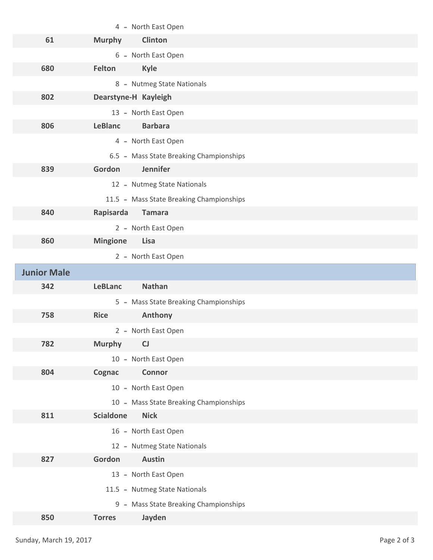|                    | 4 - North East Open                      |
|--------------------|------------------------------------------|
| 61                 | <b>Clinton</b><br><b>Murphy</b>          |
|                    | 6 - North East Open                      |
| 680                | Felton<br><b>Kyle</b>                    |
|                    | 8 - Nutmeg State Nationals               |
| 802                | Dearstyne-H Kayleigh                     |
|                    | 13 - North East Open                     |
| 806                | <b>Barbara</b><br><b>LeBlanc</b>         |
|                    | 4 - North East Open                      |
|                    | 6.5 - Mass State Breaking Championships  |
| 839                | Jennifer<br>Gordon                       |
|                    | 12 - Nutmeg State Nationals              |
|                    | 11.5 - Mass State Breaking Championships |
| 840                | Rapisarda<br><b>Tamara</b>               |
|                    | 2 - North East Open                      |
| 860                | <b>Mingione</b><br><b>Lisa</b>           |
|                    | 2 - North East Open                      |
|                    |                                          |
| <b>Junior Male</b> |                                          |
| 342                | <b>Nathan</b><br><b>LeBLanc</b>          |
|                    | 5 - Mass State Breaking Championships    |
| 758                | Anthony<br><b>Rice</b>                   |
|                    | 2 - North East Open                      |
| 782                | <b>Murphy</b><br>CJ                      |
|                    | 10 - North East Open                     |
| 804                | <b>Connor</b><br>Cognac                  |
|                    | 10 - North East Open                     |
|                    | 10 - Mass State Breaking Championships   |
| 811                | <b>Scialdone</b><br><b>Nick</b>          |
|                    | 16 - North East Open                     |
|                    | 12 - Nutmeg State Nationals              |
| 827                | Gordon<br><b>Austin</b>                  |
|                    | 13 - North East Open                     |
|                    | 11.5 - Nutmeg State Nationals            |
|                    | 9 - Mass State Breaking Championships    |